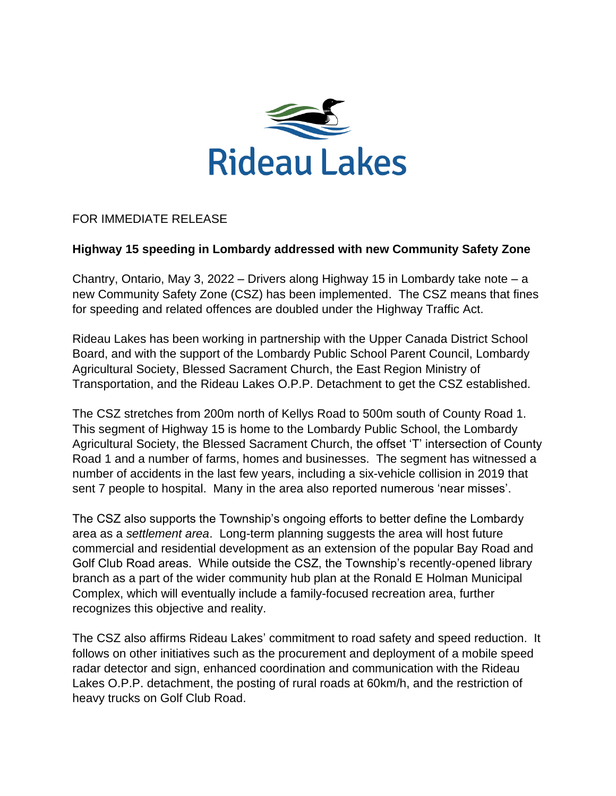

## FOR IMMEDIATE RELEASE

## **Highway 15 speeding in Lombardy addressed with new Community Safety Zone**

Chantry, Ontario, May 3, 2022 – Drivers along Highway 15 in Lombardy take note – a new Community Safety Zone (CSZ) has been implemented. The CSZ means that fines for speeding and related offences are doubled under the Highway Traffic Act.

Rideau Lakes has been working in partnership with the Upper Canada District School Board, and with the support of the Lombardy Public School Parent Council, Lombardy Agricultural Society, Blessed Sacrament Church, the East Region Ministry of Transportation, and the Rideau Lakes O.P.P. Detachment to get the CSZ established.

The CSZ stretches from 200m north of Kellys Road to 500m south of County Road 1. This segment of Highway 15 is home to the Lombardy Public School, the Lombardy Agricultural Society, the Blessed Sacrament Church, the offset 'T' intersection of County Road 1 and a number of farms, homes and businesses. The segment has witnessed a number of accidents in the last few years, including a six-vehicle collision in 2019 that sent 7 people to hospital. Many in the area also reported numerous 'near misses'.

The CSZ also supports the Township's ongoing efforts to better define the Lombardy area as a *settlement area*. Long-term planning suggests the area will host future commercial and residential development as an extension of the popular Bay Road and Golf Club Road areas. While outside the CSZ, the Township's recently-opened library branch as a part of the wider community hub plan at the Ronald E Holman Municipal Complex, which will eventually include a family-focused recreation area, further recognizes this objective and reality.

The CSZ also affirms Rideau Lakes' commitment to road safety and speed reduction. It follows on other initiatives such as the procurement and deployment of a mobile speed radar detector and sign, enhanced coordination and communication with the Rideau Lakes O.P.P. detachment, the posting of rural roads at 60km/h, and the restriction of heavy trucks on Golf Club Road.